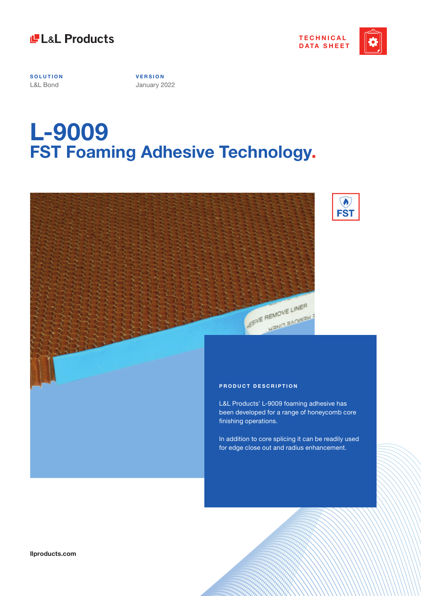



**SOLUTION** L&L Bond

**V E R S I O N**  January 2022

# **L-9009 FST Foaming Adhesive Technology.**





**llproducts.com**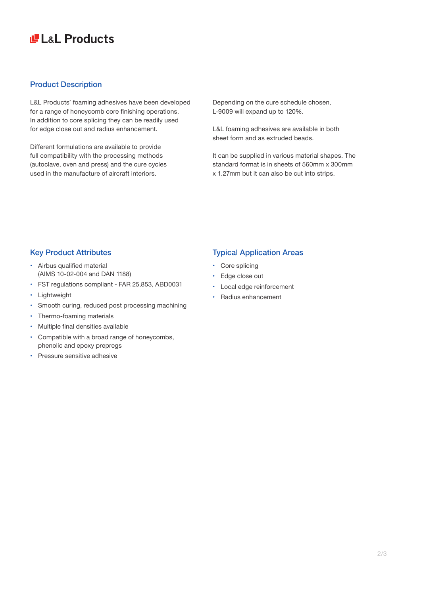# **LE LaL Products**

### Product Description

L&L Products' foaming adhesives have been developed for a range of honeycomb core finishing operations. In addition to core splicing they can be readily used for edge close out and radius enhancement.

Different formulations are available to provide full compatibility with the processing methods (autoclave, oven and press) and the cure cycles used in the manufacture of aircraft interiors.

Depending on the cure schedule chosen, L-9009 will expand up to 120%.

L&L foaming adhesives are available in both sheet form and as extruded beads.

It can be supplied in various material shapes. The standard format is in sheets of 560mm x 300mm x 1.27mm but it can also be cut into strips.

### Key Product Attributes

- Airbus qualified material (AIMS 10-02-004 and DAN 1188)
- FST regulations compliant FAR 25,853, ABD0031
- Lightweight
- Smooth curing, reduced post processing machining
- Thermo-foaming materials
- Multiple final densities available
- Compatible with a broad range of honeycombs, phenolic and epoxy prepregs
- Pressure sensitive adhesive

## Typical Application Areas

- Core splicing
- Edge close out
- Local edge reinforcement
- Radius enhancement